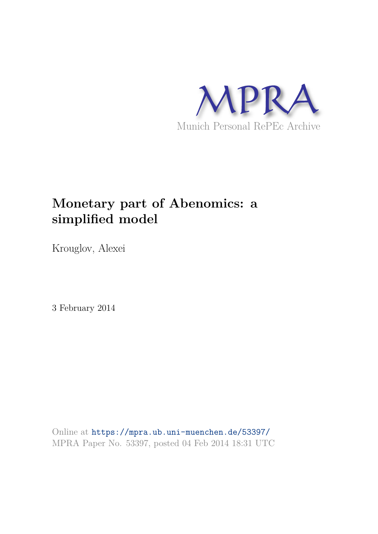

# **Monetary part of Abenomics: a simplified model**

Krouglov, Alexei

3 February 2014

Online at https://mpra.ub.uni-muenchen.de/53397/ MPRA Paper No. 53397, posted 04 Feb 2014 18:31 UTC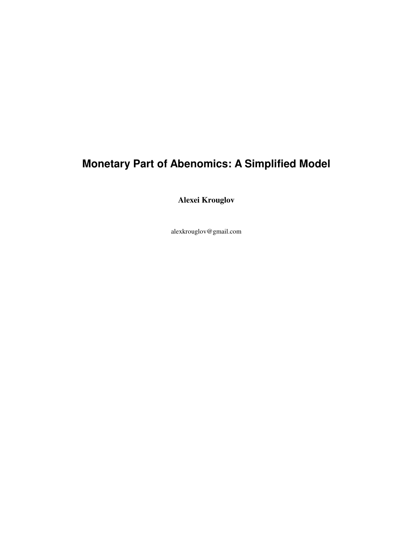## **Monetary Part of Abenomics: A Simplified Model**

**Alexei Krouglov** 

alexkrouglov@gmail.com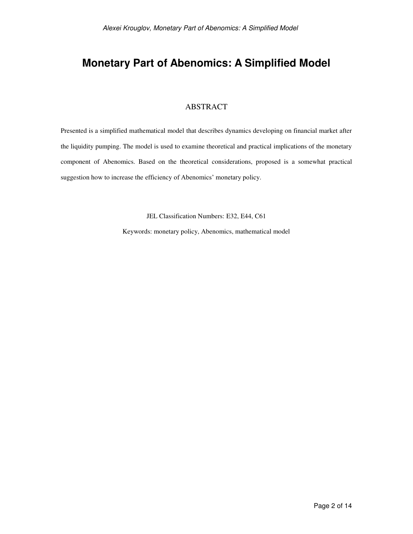## **Monetary Part of Abenomics: A Simplified Model**

#### ABSTRACT

Presented is a simplified mathematical model that describes dynamics developing on financial market after the liquidity pumping. The model is used to examine theoretical and practical implications of the monetary component of Abenomics. Based on the theoretical considerations, proposed is a somewhat practical suggestion how to increase the efficiency of Abenomics' monetary policy.

JEL Classification Numbers: E32, E44, C61

Keywords: monetary policy, Abenomics, mathematical model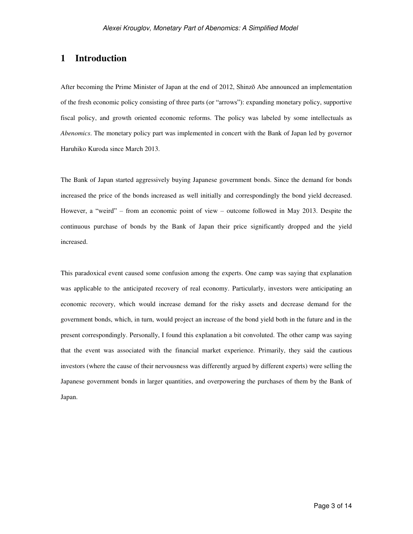### **1 Introduction**

After becoming the Prime Minister of Japan at the end of 2012, Shinzō Abe announced an implementation of the fresh economic policy consisting of three parts (or "arrows"): expanding monetary policy, supportive fiscal policy, and growth oriented economic reforms. The policy was labeled by some intellectuals as *Abenomics*. The monetary policy part was implemented in concert with the Bank of Japan led by governor Haruhiko Kuroda since March 2013.

The Bank of Japan started aggressively buying Japanese government bonds. Since the demand for bonds increased the price of the bonds increased as well initially and correspondingly the bond yield decreased. However, a "weird" – from an economic point of view – outcome followed in May 2013. Despite the continuous purchase of bonds by the Bank of Japan their price significantly dropped and the yield increased.

This paradoxical event caused some confusion among the experts. One camp was saying that explanation was applicable to the anticipated recovery of real economy. Particularly, investors were anticipating an economic recovery, which would increase demand for the risky assets and decrease demand for the government bonds, which, in turn, would project an increase of the bond yield both in the future and in the present correspondingly. Personally, I found this explanation a bit convoluted. The other camp was saying that the event was associated with the financial market experience. Primarily, they said the cautious investors (where the cause of their nervousness was differently argued by different experts) were selling the Japanese government bonds in larger quantities, and overpowering the purchases of them by the Bank of Japan.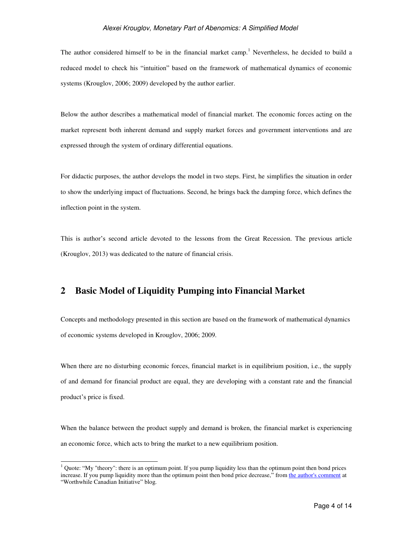The author considered himself to be in the financial market camp.<sup>1</sup> Nevertheless, he decided to build a reduced model to check his "intuition" based on the framework of mathematical dynamics of economic systems (Krouglov, 2006; 2009) developed by the author earlier.

Below the author describes a mathematical model of financial market. The economic forces acting on the market represent both inherent demand and supply market forces and government interventions and are expressed through the system of ordinary differential equations.

For didactic purposes, the author develops the model in two steps. First, he simplifies the situation in order to show the underlying impact of fluctuations. Second, he brings back the damping force, which defines the inflection point in the system.

This is author's second article devoted to the lessons from the Great Recession. The previous article (Krouglov, 2013) was dedicated to the nature of financial crisis.

## **2 Basic Model of Liquidity Pumping into Financial Market**

Concepts and methodology presented in this section are based on the framework of mathematical dynamics of economic systems developed in Krouglov, 2006; 2009.

When there are no disturbing economic forces, financial market is in equilibrium position, i.e., the supply of and demand for financial product are equal, they are developing with a constant rate and the financial product's price is fixed.

When the balance between the product supply and demand is broken, the financial market is experiencing an economic force, which acts to bring the market to a new equilibrium position.

<sup>&</sup>lt;sup>1</sup> Quote: "My "theory": there is an optimum point. If you pump liquidity less than the optimum point then bond prices increase. If you pump liquidity more than the optimum point then bond price decrease," from the author's comment at "Worthwhile Canadian Initiative" blog.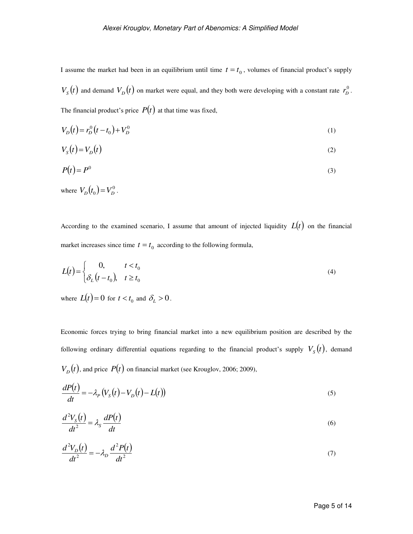I assume the market had been in an equilibrium until time  $t = t_0$ , volumes of financial product's supply  $V_s(t)$  and demand  $V_p(t)$  on market were equal, and they both were developing with a constant rate  $r_p^0$ . The financial product's price  $P(t)$  at that time was fixed,

$$
V_D(t) = r_D^0(t - t_0) + V_D^0
$$
 (1)

$$
V_s(t) = V_D(t) \tag{2}
$$

$$
P(t) = P^0 \tag{3}
$$

where  $V_D(t_0) = V_D^0$ .

According to the examined scenario, I assume that amount of injected liquidity  $L(t)$  on the financial market increases since time  $t = t_0$  according to the following formula,

$$
L(t) = \begin{cases} 0, & t < t_0 \\ \delta_L \left( t - t_0 \right), & t \ge t_0 \end{cases} \tag{4}
$$

where  $L(t) = 0$  for  $t < t_0$  and  $\delta_L > 0$ .

Economic forces trying to bring financial market into a new equilibrium position are described by the following ordinary differential equations regarding to the financial product's supply  $V_s(t)$ , demand  $V_D(t)$ , and price  $P(t)$  on financial market (see Krouglov, 2006; 2009),

$$
\frac{dP(t)}{dt} = -\lambda_P \left( V_S(t) - V_D(t) - L(t) \right) \tag{5}
$$

$$
\frac{d^2V_s(t)}{dt^2} = \lambda_s \frac{dP(t)}{dt}
$$
\n(6)

$$
\frac{d^2V_D(t)}{dt^2} = -\lambda_D \frac{d^2P(t)}{dt^2}
$$
\n(7)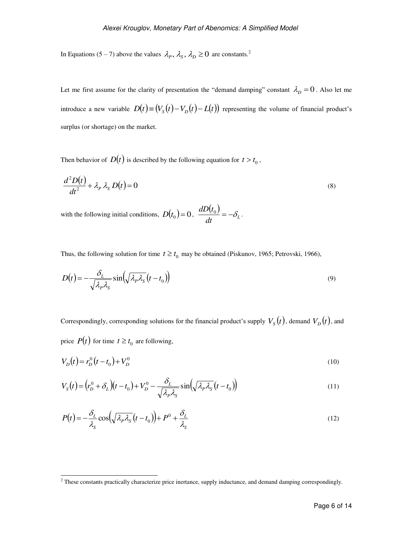In Equations (5 – 7) above the values  $\lambda_p$ ,  $\lambda_s$ ,  $\lambda_p \ge 0$  are constants.<sup>2</sup>

Let me first assume for the clarity of presentation the "demand damping" constant  $\lambda_p = 0$ . Also let me introduce a new variable  $D(t) \equiv (V_s(t) - V_p(t) - L(t))$  representing the volume of financial product's surplus (or shortage) on the market.

Then behavior of  $D(t)$  is described by the following equation for  $t > t_0$ ,

$$
\frac{d^2D(t)}{dt^2} + \lambda_p \lambda_s D(t) = 0
$$
\n(8)

with the following initial conditions,  $D(t_0) = 0$ ,  $\frac{dD(t_0)}{dt}$  $\overline{dt}$ <sup>==-0</sup><sup>L</sup>  $dD(t)$  $\frac{\partial J}{\partial t} = -\delta_{L}$ .

Thus, the following solution for time  $t \ge t_0$  may be obtained (Piskunov, 1965; Petrovski, 1966),

$$
D(t) = -\frac{\delta_L}{\sqrt{\lambda_P \lambda_S}} \sin\left(\sqrt{\lambda_P \lambda_S} (t - t_0)\right)
$$
\n(9)

Correspondingly, corresponding solutions for the financial product's supply  $V_s(t)$ , demand  $V_p(t)$ , and price  $P(t)$  for time  $t \ge t_0$  are following,

$$
V_D(t) = r_D^0(t - t_0) + V_D^0
$$
\n(10)

$$
V_S(t) = (r_D^0 + \delta_L)(t - t_0) + V_D^0 - \frac{\delta_L}{\sqrt{\lambda_P \lambda_S}} \sin(\sqrt{\lambda_P \lambda_S}(t - t_0))
$$
\n(11)

$$
P(t) = -\frac{\delta_L}{\lambda_S} \cos\left(\sqrt{\lambda_P \lambda_S} (t - t_0)\right) + P^0 + \frac{\delta_L}{\lambda_S}
$$
\n(12)

<sup>&</sup>lt;sup>2</sup> These constants practically characterize price inertance, supply inductance, and demand damping correspondingly.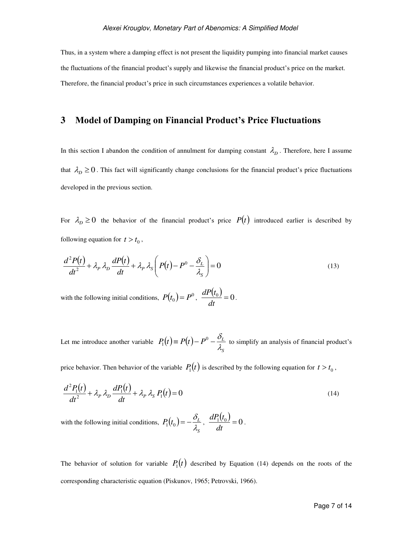Thus, in a system where a damping effect is not present the liquidity pumping into financial market causes the fluctuations of the financial product's supply and likewise the financial product's price on the market. Therefore, the financial product's price in such circumstances experiences a volatile behavior.

### **3 Model of Damping on Financial Product's Price Fluctuations**

In this section I abandon the condition of annulment for damping constant  $\lambda_p$ . Therefore, here I assume that  $\lambda_D \geq 0$ . This fact will significantly change conclusions for the financial product's price fluctuations developed in the previous section.

For  $\lambda_D \ge 0$  the behavior of the financial product's price  $P(t)$  introduced earlier is described by following equation for  $t > t_0$ ,

$$
\frac{d^2P(t)}{dt^2} + \lambda_p \lambda_p \frac{dP(t)}{dt} + \lambda_p \lambda_s \left( P(t) - P^0 - \frac{\delta_L}{\lambda_s} \right) = 0
$$
\n(13)

with the following initial conditions,  $P(t_0) = P^0$ ,  $\frac{dP(t_0)}{dt}$  $\frac{v_0}{dt} = 0$  $dP(t)$ .

Let me introduce another variable  $P_1(t) \equiv P(t)$ *S*  $P(t) = P(t) - P^{0} - \frac{\sigma_{L}}{t}$  $\lambda$ .  $\equiv P(t)-P^{0}-\frac{\delta_{0}}{2}$  $P_1(t) \equiv P(t) - P^0 - \frac{L}{t}$  to simplify an analysis of financial product's

price behavior. Then behavior of the variable  $P_1(t)$  is described by the following equation for  $t > t_0$ ,

$$
\frac{d^2P_1(t)}{dt^2} + \lambda_P \lambda_D \frac{dP_1(t)}{dt} + \lambda_P \lambda_S P_1(t) = 0
$$
\n(14)

with the following initial conditions,  $P_1(t_0)$ *S*  $P(t_0) = -\frac{\rho_L}{\rho}$ λ.  $P_1(t_0) = -\frac{\delta_L}{i}, \frac{dP_1(t_0)}{dt}$  $\frac{1\mathcal{V}_0}{dt} = 0$ *dP t* .

The behavior of solution for variable  $P_1(t)$  described by Equation (14) depends on the roots of the corresponding characteristic equation (Piskunov, 1965; Petrovski, 1966).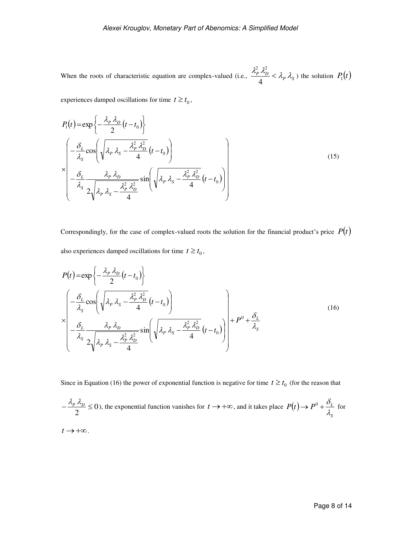When the roots of characteristic equation are complex-valued (i.e.,  $\frac{\lambda_P^2 \lambda_D^2}{4} < \lambda_P \lambda_S$ 4 2  $2^2$ ) the solution  $P_1(t)$ 

experiences damped oscillations for time  $t \ge t_0$ ,

$$
P_1(t) = \exp\left\{-\frac{\lambda_P \lambda_D}{2}(t - t_0)\right\}
$$
  
\n
$$
\times \left(-\frac{\delta_L}{\lambda_S} \cos\left(\sqrt{\lambda_P \lambda_S} - \frac{\lambda_P^2 \lambda_D^2}{4}(t - t_0)\right)\right)
$$
  
\n
$$
\times \left(-\frac{\delta_L}{\lambda_S} \frac{\lambda_P \lambda_D}{2\sqrt{\lambda_P \lambda_S} - \frac{\lambda_P^2 \lambda_D^2}{4}} \sin\left(\sqrt{\lambda_P \lambda_S} - \frac{\lambda_P^2 \lambda_D^2}{4}(t - t_0)\right)\right)
$$
\n(15)

Correspondingly, for the case of complex-valued roots the solution for the financial product's price  $P(t)$ also experiences damped oscillations for time  $t \ge t_0$ ,

$$
P(t) = \exp\left\{-\frac{\lambda_p \lambda_D}{2}(t - t_0)\right\}
$$
  
\n
$$
\times \left[\frac{-\frac{\delta_L}{\lambda_S} \cos\left(\sqrt{\lambda_p \lambda_S} - \frac{\lambda_p^2 \lambda_D^2}{4}(t - t_0)\right)}{-\frac{\delta_L}{\lambda_S} \frac{\lambda_p \lambda_D}{2\sqrt{\lambda_p \lambda_S} - \frac{\lambda_p^2 \lambda_D^2}{4}} \sin\left(\sqrt{\lambda_p \lambda_S} - \frac{\lambda_p^2 \lambda_D^2}{4}(t - t_0)\right)}\right] + P^0 + \frac{\delta_L}{\lambda_S}
$$
\n(16)

Since in Equation (16) the power of exponential function is negative for time  $t \ge t_0$  (for the reason that

$$
-\frac{\lambda_p \lambda_D}{2} \le 0
$$
), the exponential function vanishes for  $t \to +\infty$ , and it takes place  $P(t) \to P^0 + \frac{\delta_L}{\lambda_S}$  for

 $t \rightarrow +\infty$ .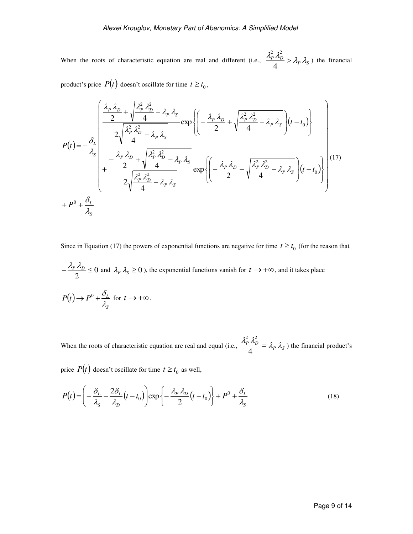When the roots of characteristic equation are real and different (i.e.,  $\frac{\lambda_P^2 \lambda_D^2}{\lambda_P} > \lambda_P \lambda_S$ 4 2  $2^2$ ) the financial

product's price  $P(t)$  doesn't oscillate for time  $t \ge t_0$ ,

$$
P(t) = -\frac{\delta_L}{\lambda_S} \left( \frac{\frac{\lambda_P \lambda_D}{2} + \sqrt{\frac{\lambda_P^2 \lambda_D^2}{4} - \lambda_P \lambda_S}}{2\sqrt{\frac{\lambda_P^2 \lambda_D^2}{4} - \lambda_P \lambda_S}} \exp \left\{ \left( -\frac{\lambda_P \lambda_D}{2} + \sqrt{\frac{\lambda_P^2 \lambda_D^2}{4} - \lambda_P \lambda_S} \right) (t - t_0) \right\}
$$
  
\n
$$
P(t) = -\frac{\delta_L}{\lambda_S} \left( \frac{\lambda_P \lambda_D}{2} + \sqrt{\frac{\lambda_P^2 \lambda_D^2}{4} - \lambda_P \lambda_S} - \frac{\lambda_P \lambda_S}{4} \right) \exp \left\{ \left( -\frac{\lambda_P \lambda_D}{2} - \sqrt{\frac{\lambda_P^2 \lambda_D^2}{4} - \lambda_P \lambda_S} \right) (t - t_0) \right\} \right\}
$$
  
\n
$$
+ P^0 + \frac{\delta_L}{\lambda_S} + P^0 + \frac{\delta_L}{\lambda_S}
$$

Since in Equation (17) the powers of exponential functions are negative for time  $t \ge t_0$  (for the reason that

$$
-\frac{\lambda_p \lambda_p}{2} \le 0 \text{ and } \lambda_p \lambda_s \ge 0 \text{), the exponential functions vanish for } t \to +\infty, \text{ and it takes place}
$$
  

$$
P(t) \to P^0 + \frac{\delta_L}{\lambda_s} \text{ for } t \to +\infty.
$$

When the roots of characteristic equation are real and equal (i.e.,  $\frac{\lambda_P^2}{\lambda_D} = \lambda_P \lambda_S$ 4 2  $2^2$ ) the financial product's

price  $P(t)$  doesn't oscillate for time  $t \ge t_0$  as well,

$$
P(t) = \left(-\frac{\delta_L}{\lambda_S} - \frac{2\delta_L}{\lambda_D}(t - t_0)\right) \exp\left\{-\frac{\lambda_P \lambda_D}{2}(t - t_0)\right\} + P^0 + \frac{\delta_L}{\lambda_S}
$$
(18)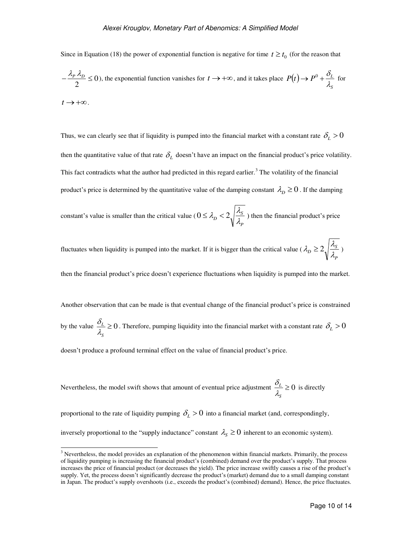Since in Equation (18) the power of exponential function is negative for time  $t \ge t_0$  (for the reason that

$$
-\frac{\lambda_p \lambda_D}{2} \le 0
$$
), the exponential function vanishes for  $t \to +\infty$ , and it takes place  $P(t) \to P^0 + \frac{\delta_L}{\lambda_S}$  for  $t \to +\infty$ .

Thus, we can clearly see that if liquidity is pumped into the financial market with a constant rate  $\delta_L > 0$ then the quantitative value of that rate  $\delta_{\mu}$  doesn't have an impact on the financial product's price volatility. This fact contradicts what the author had predicted in this regard earlier.<sup>3</sup> The volatility of the financial product's price is determined by the quantitative value of the damping constant  $\lambda_p \geq 0$ . If the damping

constant's value is smaller than the critical value ( *P*  $\sigma$ <sup>2</sup>  $\sqrt{\frac{\lambda_S}{\lambda_S}}$  $0 \leq \lambda_p < 2 \sqrt{\frac{\lambda_s}{n}}$ ) then the financial product's price

fluctuates when liquidity is pumped into the market. If it is bigger than the critical value ( *P*  $D \geq 2 \sqrt{\frac{\lambda_S}{\lambda_S}}$  $\lambda_{D} \geq 2 \sqrt{\frac{\lambda_{S}}{2}}$ 

then the financial product's price doesn't experience fluctuations when liquidity is pumped into the market.

Another observation that can be made is that eventual change of the financial product's price is constrained

by the value  $\frac{U_L}{2} \geq 0$ *S L* λ.  $\frac{\delta_L}{\delta} \ge 0$ . Therefore, pumping liquidity into the financial market with a constant rate  $\delta_L > 0$ 

doesn't produce a profound terminal effect on the value of financial product's price.

-

Nevertheless, the model switch shows that amount of eventual price adjustment 
$$
\frac{\delta_L}{\lambda_S} \ge 0
$$
 is directly

proportional to the rate of liquidity pumping  $\delta_L > 0$  into a financial market (and, correspondingly,

inversely proportional to the "supply inductance" constant  $\lambda_s \ge 0$  inherent to an economic system).

<sup>&</sup>lt;sup>3</sup> Nevertheless, the model provides an explanation of the phenomenon within financial markets. Primarily, the process of liquidity pumping is increasing the financial product's (combined) demand over the product's supply. That process increases the price of financial product (or decreases the yield). The price increase swiftly causes a rise of the product's supply. Yet, the process doesn't significantly decrease the product's (market) demand due to a small damping constant in Japan. The product's supply overshoots (i.e., exceeds the product's (combined) demand). Hence, the price fluctuates.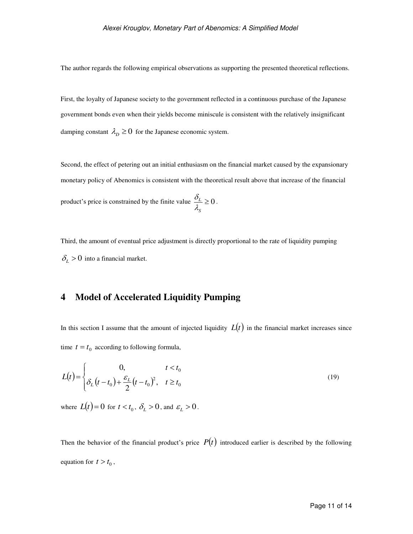The author regards the following empirical observations as supporting the presented theoretical reflections.

First, the loyalty of Japanese society to the government reflected in a continuous purchase of the Japanese government bonds even when their yields become miniscule is consistent with the relatively insignificant damping constant  $\lambda_p \geq 0$  for the Japanese economic system.

Second, the effect of petering out an initial enthusiasm on the financial market caused by the expansionary monetary policy of Abenomics is consistent with the theoretical result above that increase of the financial product's price is constrained by the finite value  $\frac{U_L}{I} \geq 0$ *S L* λ.  $\frac{\delta_L}{\delta} \geq 0$ .

Third, the amount of eventual price adjustment is directly proportional to the rate of liquidity pumping  $\delta_L > 0$  into a financial market.

## **4 Model of Accelerated Liquidity Pumping**

In this section I assume that the amount of injected liquidity  $L(t)$  in the financial market increases since time  $t = t_0$  according to following formula,

$$
L(t) = \begin{cases} 0, & t < t_0 \\ \delta_L (t - t_0) + \frac{\varepsilon_L}{2} (t - t_0)^2, & t \ge t_0 \end{cases}
$$
(19)

where  $L(t) = 0$  for  $t < t_0$ ,  $\delta_L > 0$ , and  $\epsilon_L > 0$ .

Then the behavior of the financial product's price  $P(t)$  introduced earlier is described by the following equation for  $t > t_0$ ,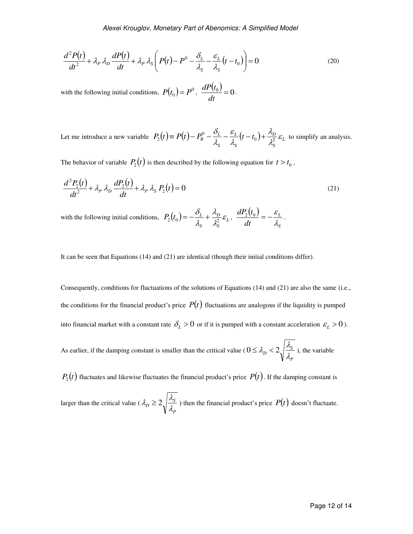$$
\frac{d^2P(t)}{dt^2} + \lambda_p \lambda_p \frac{dP(t)}{dt} + \lambda_p \lambda_s \left( P(t) - P^0 - \frac{\delta_L}{\lambda_s} - \frac{\varepsilon_L}{\lambda_s} (t - t_0) \right) = 0 \tag{20}
$$

with the following initial conditions,  $P(t_0) = P^0$ ,  $\frac{dP(t_0)}{dt}$  $\frac{v_0}{dt} = 0$  $dP(t)$ .

Let me introduce a new variable  $P_2(t) = P(t) - P_R^0 - \frac{\sigma_L}{\sigma} - \frac{\sigma_L}{2}(t - t_0) + \frac{\sigma_D}{\sigma^2} \varepsilon_L$ *S D S L S*  $P_2(t) \equiv P(t) - P_R^0 - \frac{\sigma_L}{\lambda_c} - \frac{\varepsilon_L}{\lambda_c}(t - t_0) + \frac{\lambda_D}{\lambda_c^2} \varepsilon$ λ. λ. ε  $\lambda$ . δ 0  $1\frac{1}{2^2}$  $P_2(t) \equiv P(t) - P_R^0 - \frac{\sigma_L}{2} - \frac{\varepsilon_L}{2}(t - t_0) + \frac{\lambda_D}{2} \varepsilon_L$  to simplify an analysis.

The behavior of variable  $P_2(t)$  is then described by the following equation for  $t > t_0$ ,

$$
\frac{d^2P_2(t)}{dt^2} + \lambda_P \lambda_D \frac{dP_2(t)}{dt} + \lambda_P \lambda_S P_2(t) = 0
$$
\n(21)

with the following initial conditions,  $P_2(t_0) = -\frac{U_L}{\lambda} + \frac{\lambda_D}{\lambda^2} \mathcal{E}_L$ *S D S*  $P_2(t_0) = -\frac{\nu_L}{\rho} + \frac{\lambda_D}{\rho} \varepsilon$ λέ λ, λ.  $\delta$  $P_2(t_0) = -\frac{\delta_L}{1} + \frac{\lambda_D}{2} \varepsilon_L, \frac{dP_2(t_0)}{dt}$ *S L dt*  $dP_2(t)$ λ.  $\frac{\mathcal{E}_2(t_0)}{1} = -\frac{\mathcal{E}_L}{1}$ .

It can be seen that Equations (14) and (21) are identical (though their initial conditions differ).

Consequently, conditions for fluctuations of the solutions of Equations (14) and (21) are also the same (i.e., the conditions for the financial product's price  $P(t)$  fluctuations are analogous if the liquidity is pumped into financial market with a constant rate  $\delta_L > 0$  or if it is pumped with a constant acceleration  $\varepsilon_L > 0$ ).

As earlier, if the damping constant is smaller than the critical value ( *P*  $\sigma$ <sup>2</sup>  $\sqrt{\frac{\lambda_S}{\lambda_S}}$  $0 \leq \lambda_p < 2 \sqrt{\frac{\lambda_s}{n}}$ ), the variable

 $P_2(t)$  fluctuates and likewise fluctuates the financial product's price  $P(t)$ . If the damping constant is

larger than the critical value ( *P*  $D \geq 2 \sqrt{\frac{\lambda_S}{\lambda_S}}$  $\lambda_p \geq 2 \sqrt{\frac{\lambda_s}{a}}$ ) then the financial product's price  $P(t)$  doesn't fluctuate.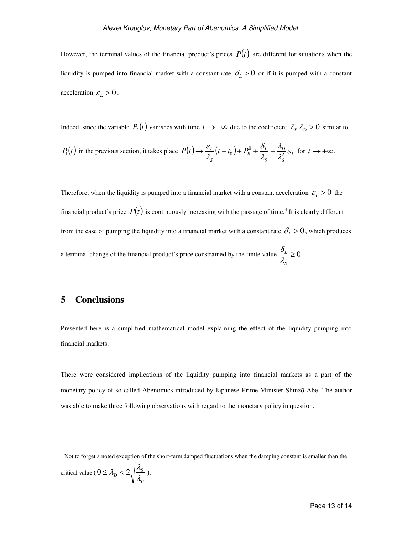However, the terminal values of the financial product's prices  $P(t)$  are different for situations when the liquidity is pumped into financial market with a constant rate  $\delta_L > 0$  or if it is pumped with a constant acceleration  $\varepsilon_L > 0$ .

Indeed, since the variable  $P_2(t)$  vanishes with time  $t \to +\infty$  due to the coefficient  $\lambda_p \lambda_p > 0$  similar to

$$
P_1(t)
$$
 in the previous section, it takes place  $P(t) \to \frac{\varepsilon_L}{\lambda_S} (t - t_0) + P_R^0 + \frac{\delta_L}{\lambda_S} - \frac{\lambda_D}{\lambda_S^2} \varepsilon_L$  for  $t \to +\infty$ .

Therefore, when the liquidity is pumped into a financial market with a constant acceleration  $\varepsilon_L > 0$  the financial product's price  $P(t)$  is continuously increasing with the passage of time.<sup>4</sup> It is clearly different from the case of pumping the liquidity into a financial market with a constant rate  $\delta_L > 0$ , which produces a terminal change of the financial product's price constrained by the finite value  $\frac{U_L}{A} \geq 0$ *S L* λ.  $\frac{\delta_L}{\delta} \geq 0$ .

#### **5 Conclusions**

Presented here is a simplified mathematical model explaining the effect of the liquidity pumping into financial markets.

There were considered implications of the liquidity pumping into financial markets as a part of the monetary policy of so-called Abenomics introduced by Japanese Prime Minister Shinzō Abe. The author was able to make three following observations with regard to the monetary policy in question.

 4 Not to forget a noted exception of the short-term damped fluctuations when the damping constant is smaller than the critical value ( *P*  $\sigma$ <sup>2</sup>  $\sqrt{\frac{\lambda_S}{\lambda_S}}$  $0 \leq \lambda_p < 2 \sqrt{\frac{\lambda_s}{a}}$ ).